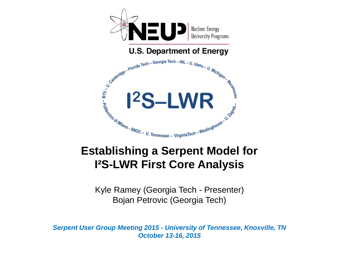

#### **Establishing a Serpent Model for I²S-LWR First Core Analysis**

Kyle Ramey (Georgia Tech - Presenter) Bojan Petrovic (Georgia Tech)

*Serpent User Group Meeting 2015 - University of Tennessee, Knoxville, TN October 13-16, 2015*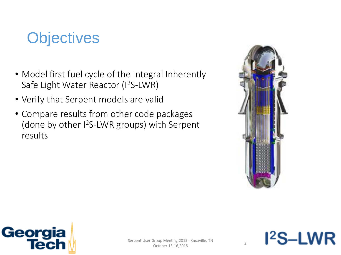# **Objectives**

- Model first fuel cycle of the Integral Inherently Safe Light Water Reactor (I<sup>2</sup>S-LWR)
- Verify that Serpent models are valid
- Compare results from other code packages (done by other I <sup>2</sup>S-LWR groups) with Serpent results





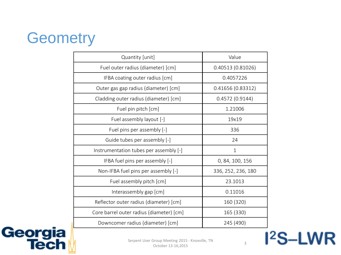# **Geometry**

| Quantity [unit]                          | Value              |
|------------------------------------------|--------------------|
| Fuel outer radius (diameter) [cm]        | 0.40513(0.81026)   |
| IFBA coating outer radius [cm]           | 0.4057226          |
| Outer gas gap radius (diameter) [cm]     | 0.41656 (0.83312)  |
| Cladding outer radius (diameter) [cm]    | 0.4572(0.9144)     |
| Fuel pin pitch [cm]                      | 1.21006            |
| Fuel assembly layout [-]                 | 19x19              |
| Fuel pins per assembly [-]               | 336                |
| Guide tubes per assembly [-]             | 24                 |
| Instrumentation tubes per assembly [-]   | 1                  |
| IFBA fuel pins per assembly [-]          | 0, 84, 100, 156    |
| Non-IFBA fuel pins per assembly [-]      | 336, 252, 236, 180 |
| Fuel assembly pitch [cm]                 | 23.1013            |
| Interassembly gap [cm]                   | 0.11016            |
| Reflector outer radius (diameter) [cm]   | 160 (320)          |
| Core barrel outer radius (diameter) [cm] | 165 (330)          |
| Downcomer radius (diameter) [cm]         | 245 (490)          |

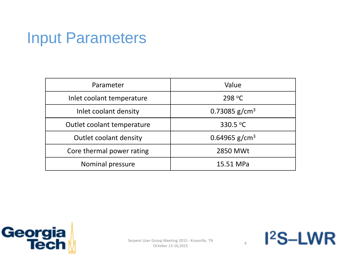## Input Parameters

| Parameter                     | Value                     |
|-------------------------------|---------------------------|
| Inlet coolant temperature     | 298 $\degree$ C           |
| Inlet coolant density         | 0.73085 g/cm <sup>3</sup> |
| Outlet coolant temperature    | 330.5 $^{\circ}$ C        |
| <b>Outlet coolant density</b> | 0.64965 g/cm <sup>3</sup> |
| Core thermal power rating     | 2850 MWt                  |
| Nominal pressure              | 15.51 MPa                 |

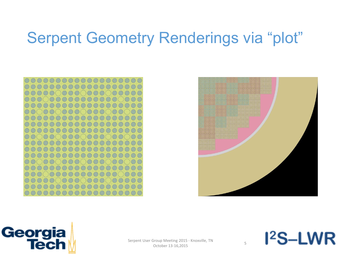# Serpent Geometry Renderings via "plot"





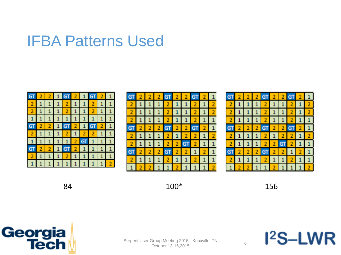#### IFBA Patterns Used

|                |                   |                           |          | $\mathbf{1}$ |     |                 |
|----------------|-------------------|---------------------------|----------|--------------|-----|-----------------|
|                |                   | $2 \mid 1 \mid 1$         |          |              | 2 1 |                 |
|                |                   | $1$ 1 1 1 1 1             |          |              |     | $\vert 1 \vert$ |
|                | $2 \mid 2 \mid 1$ |                           | $GT$ 2 1 |              |     | $2 \mid 1$      |
|                |                   | $1$ 2 1 2 2 1             |          |              |     |                 |
|                |                   | $1 \mid 1 \mid 2 \mid$ GT |          |              |     |                 |
|                |                   |                           |          |              |     |                 |
|                |                   | $1 \ 2 \ 1 \ 1$           |          |              |     |                 |
| 11111111111112 |                   |                           |          |              |     |                 |

|  |  |           | $2 \mid 2$     |           |  |  |
|--|--|-----------|----------------|-----------|--|--|
|  |  | $\vert$ 2 |                |           |  |  |
|  |  |           |                |           |  |  |
|  |  |           |                |           |  |  |
|  |  |           | $\overline{2}$ | $\vert$ 2 |  |  |
|  |  |           |                |           |  |  |
|  |  |           |                |           |  |  |
|  |  |           |                |           |  |  |
|  |  |           |                |           |  |  |
|  |  |           |                |           |  |  |

84 100\* 156

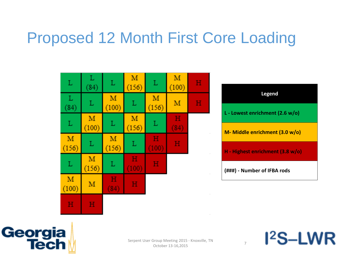# Proposed 12 Month First Core Loading

| L           | L<br>(84)  | L          | M<br>(156) | L           | M<br>(100) | H |           |
|-------------|------------|------------|------------|-------------|------------|---|-----------|
| $L$<br>(84) | L          | M<br>(100) | L          | M<br>(156)  | M          | H |           |
| L           | M<br>(100) | L          | M<br>(156) | L           | Н<br>(84)  |   |           |
| M<br>(156)  | L          | M<br>(156) | L          | н<br>(100)  | н          |   | $\bar{a}$ |
| L           | M<br>(156) | L          | н<br>(100) | $\mathbf H$ |            |   | $\bar{z}$ |
| M<br>(100)  | M          | н<br>(84)  | н          |             |            |   | $\bar{z}$ |
| н           | н          |            |            |             |            |   | $\bar{z}$ |

| <b>Legend</b>                              |
|--------------------------------------------|
| L - Lowest enrichment (2.6 w/o)            |
| M- Middle enrichment (3.0 w/o)             |
| H - Highest enrichment $(3.8 \text{ w/o})$ |
| (###) - Number of IFBA rods                |

 $I<sup>2</sup>S-LWR$ 



the control of the control of the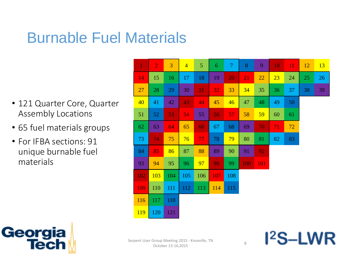# Burnable Fuel Materials

- 121 Quarter Core, Quarter Assembly Locations
- 65 fuel materials groups
- For IFBA sections: 91 unique burnable fuel materials

| $\mathbf{1}$ | $\overline{2}$ | 3   | $\overline{4}$ | 5   | 6   | $\overline{7}$ | 8   | 9   | 10 | <b>11</b> | 12 | 13 |
|--------------|----------------|-----|----------------|-----|-----|----------------|-----|-----|----|-----------|----|----|
| 14           | 15             | 16  | 17             | 18  | 19  | 20             | 21  | 22  | 23 | 24        | 25 | 26 |
| 27           | 28             | 29  | 30             | 31  | 32  | 33             | 34  | 35  | 36 | 37        | 38 | 39 |
| 40           | 41             | 42  | 43             | 44  | 45  | 46             | 47  | 48  | 49 | 50        |    |    |
| 51           | 52             | 53  | 54             | 55  | 56  | 57             | 58  | 59  | 60 | 61        |    |    |
| 62           | 63             | 64  | 65             | 66  | 67  | 68             | 69  | 70  | 71 | 72        |    |    |
| 73           | 74             | 75  | 76             | 77  | 78  | 79             | 80  | 81  | 82 | 83        |    |    |
| 84           | 85             | 86  | 87             | 88  | 89  | 90             | 91  | 92  |    |           |    |    |
| 93           | 94             | 95  | 96             | 97  | 98  | 99             | 100 | 101 |    |           |    |    |
| 102          | 103            | 104 | 105            | 106 | 107 | 108            |     |     |    |           |    |    |
| 109          | 110            | 111 | 112            | 113 | 114 | 115            |     |     |    |           |    |    |
| 116          | 117            | 118 |                |     |     |                |     |     |    |           |    |    |
| 119          | 120            | 121 |                |     |     |                |     |     |    |           |    |    |

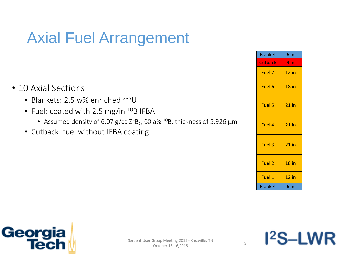# Axial Fuel Arrangement

|                 | <b>Blanket</b> | 6 in    |
|-----------------|----------------|---------|
|                 | Cutback 9 in   |         |
|                 | Fuel 7 12 in   |         |
|                 | Fuel 6 18 in   |         |
|                 | Fuel 5 21 in   |         |
| ess of 5.926 µm | Fuel 4 21 in   |         |
|                 | Fuel 3 21 in   |         |
|                 | Fuel 2 18 in   |         |
|                 | Fuel 1         | $12$ in |
|                 | <b>Blanket</b> | 6 in    |

- 10 Axial Sections
	- Blankets: 2.5 w% enriched <sup>235</sup>U
	- Fuel: coated with 2.5 mg/in <sup>10</sup>B IFBA
		- Assumed density of 6.07 g/cc ZrB<sub>2</sub>, 60 a%  $^{10}$ B, thickness of 5.926  $\mu$ m
	- Cutback: fuel without IFBA coating



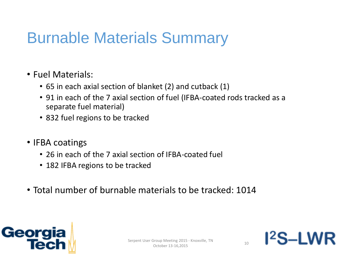# Burnable Materials Summary

- Fuel Materials:
	- 65 in each axial section of blanket (2) and cutback (1)
	- 91 in each of the 7 axial section of fuel (IFBA-coated rods tracked as a separate fuel material)
	- 832 fuel regions to be tracked
- IFBA coatings
	- 26 in each of the 7 axial section of IFBA-coated fuel
	- 182 IFBA regions to be tracked
- Total number of burnable materials to be tracked: 1014



 $l^2$ S $-l$ WR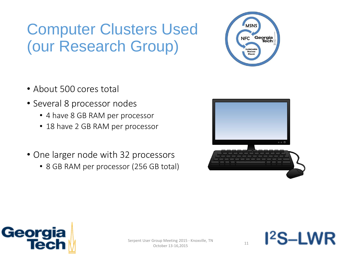# Computer Clusters Used (our Research Group)

- About 500 cores total
- Several 8 processor nodes
	- 4 have 8 GB RAM per processor
	- 18 have 2 GB RAM per processor
- One larger node with 32 processors
	- 8 GB RAM per processor (256 GB total)





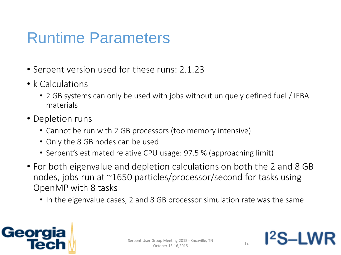# Runtime Parameters

- Serpent version used for these runs: 2.1.23
- k Calculations
	- 2 GB systems can only be used with jobs without uniquely defined fuel / IFBA materials
- Depletion runs
	- Cannot be run with 2 GB processors (too memory intensive)
	- Only the 8 GB nodes can be used
	- Serpent's estimated relative CPU usage: 97.5 % (approaching limit)
- For both eigenvalue and depletion calculations on both the 2 and 8 GB nodes, jobs run at ~1650 particles/processor/second for tasks using OpenMP with 8 tasks
	- In the eigenvalue cases, 2 and 8 GB processor simulation rate was the same



12S-I W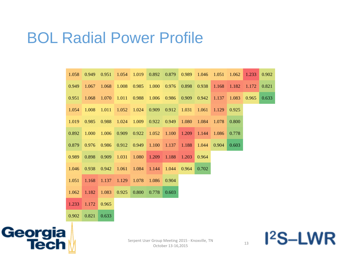#### BOL Radial Power Profile

| 1.058 | 0.949 | 0.951 | 1.054 | 1.019 | 0.892 | 0.879 | 0.989 | 1.046 | 1.051 | 1.062 | 1.233 | 0.902 |
|-------|-------|-------|-------|-------|-------|-------|-------|-------|-------|-------|-------|-------|
| 0.949 | 1.067 | 1.068 | 1.008 | 0.985 | 1.000 | 0.976 | 0.898 | 0.938 | 1.168 | 1.182 | 1.172 | 0.821 |
| 0.951 | 1.068 | 1.070 | 1.011 | 0.988 | 1.006 | 0.986 | 0.909 | 0.942 | 1.137 | 1.083 | 0.965 | 0.633 |
| 1.054 | 1.008 | 1.011 | 1.052 | 1.024 | 0.909 | 0.912 | 1.031 | 1.061 | 1.129 | 0.925 |       |       |
| 1.019 | 0.985 | 0.988 | 1.024 | 1.009 | 0.922 | 0.949 | 1.080 | 1.084 | 1.078 | 0.800 |       |       |
| 0.892 | 1.000 | 1.006 | 0.909 | 0.922 | 1.052 | 1.100 | 1.209 | 1.144 | 1.086 | 0.778 |       |       |
| 0.879 | 0.976 | 0.986 | 0.912 | 0.949 | 1.100 | 1.137 | 1.188 | 1.044 | 0.904 | 0.603 |       |       |
| 0.989 | 0.898 | 0.909 | 1.031 | 1.080 | 1.209 | 1.188 | 1.203 | 0.964 |       |       |       |       |
| 1.046 | 0.938 | 0.942 | 1.061 | 1.084 | 1.144 | 1.044 | 0.964 | 0.702 |       |       |       |       |
| 1.051 | 1.168 | 1.137 | 1.129 | 1.078 | 1.086 | 0.904 |       |       |       |       |       |       |
| 1.062 | 1.182 | 1.083 | 0.925 | 0.800 | 0.778 | 0.603 |       |       |       |       |       |       |
| 1.233 | 1.172 | 0.965 |       |       |       |       |       |       |       |       |       |       |
| 0.902 | 0.821 | 0.633 |       |       |       |       |       |       |       |       |       |       |

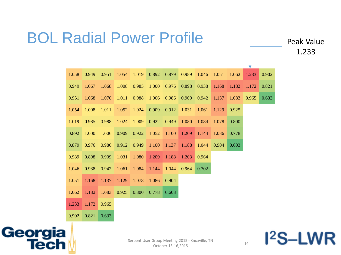# BOL Radial Power Profile

Peak Value 1.233

| 1.058 | 0.949 | 0.951 | 1.054 | 1.019 | 0.892 | 0.879 | 0.989 | 1.046 | 1.051 | 1.062 | 1.233 | 0.902 |
|-------|-------|-------|-------|-------|-------|-------|-------|-------|-------|-------|-------|-------|
| 0.949 | 1.067 | 1.068 | 1.008 | 0.985 | 1.000 | 0.976 | 0.898 | 0.938 | 1.168 | 1.182 | 1.172 | 0.821 |
| 0.951 | 1.068 | 1.070 | 1.011 | 0.988 | 1.006 | 0.986 | 0.909 | 0.942 | 1.137 | 1.083 | 0.965 | 0.633 |
| 1.054 | 1.008 | 1.011 | 1.052 | 1.024 | 0.909 | 0.912 | 1.031 | 1.061 | 1.129 | 0.925 |       |       |
| 1.019 | 0.985 | 0.988 | 1.024 | 1.009 | 0.922 | 0.949 | 1.080 | 1.084 | 1.078 | 0.800 |       |       |
| 0.892 | 1.000 | 1.006 | 0.909 | 0.922 | 1.052 | 1.100 | 1.209 | 1.144 | 1.086 | 0.778 |       |       |
| 0.879 | 0.976 | 0.986 | 0.912 | 0.949 | 1.100 | 1.137 | 1.188 | 1.044 | 0.904 | 0.603 |       |       |
| 0.989 | 0.898 | 0.909 | 1.031 | 1.080 | 1.209 | 1.188 | 1.203 | 0.964 |       |       |       |       |
| 1.046 | 0.938 | 0.942 | 1.061 | 1.084 | 1.144 | 1.044 | 0.964 | 0.702 |       |       |       |       |
| 1.051 | 1.168 | 1.137 | 1.129 | 1.078 | 1.086 | 0.904 |       |       |       |       |       |       |
| 1.062 | 1.182 | 1.083 | 0.925 | 0.800 | 0.778 | 0.603 |       |       |       |       |       |       |
| 1.233 | 1.172 | 0.965 |       |       |       |       |       |       |       |       |       |       |
| 0.902 | 0.821 | 0.633 |       |       |       |       |       |       |       |       |       |       |

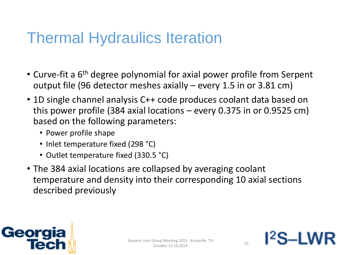## Thermal Hydraulics Iteration

- Curve-fit a 6<sup>th</sup> degree polynomial for axial power profile from Serpent output file (96 detector meshes axially – every 1.5 in or 3.81 cm)
- 1D single channel analysis C++ code produces coolant data based on this power profile (384 axial locations – every 0.375 in or 0.9525 cm) based on the following parameters:
	- Power profile shape
	- Inlet temperature fixed (298 °C)
	- Outlet temperature fixed (330.5 °C)
- The 384 axial locations are collapsed by averaging coolant temperature and density into their corresponding 10 axial sections described previously



12S\_I W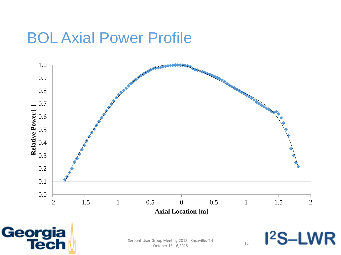#### BOL Axial Power Profile





Serpent User Group Meeting 2015 - Knoxville, TN Sroup interesting 2015 - Krioxville, TN<br>October 13-16,2015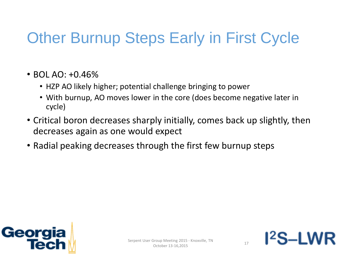# Other Burnup Steps Early in First Cycle

- BOL AO:  $+0.46\%$ 
	- HZP AO likely higher; potential challenge bringing to power
	- With burnup, AO moves lower in the core (does become negative later in cycle)
- Critical boron decreases sharply initially, comes back up slightly, then decreases again as one would expect
- Radial peaking decreases through the first few burnup steps



12S-I W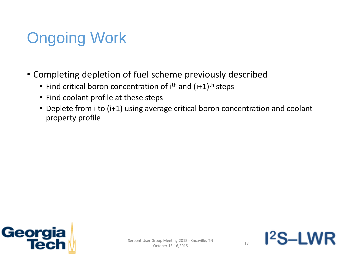# Ongoing Work

- Completing depletion of fuel scheme previously described
	- Find critical boron concentration of i<sup>th</sup> and (i+1)<sup>th</sup> steps
	- Find coolant profile at these steps
	- Deplete from i to (i+1) using average critical boron concentration and coolant property profile



 $12S-1M$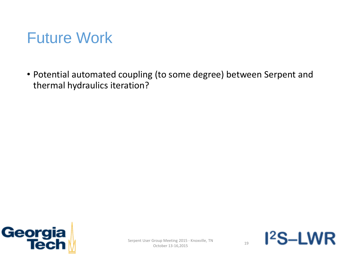# Future Work

• Potential automated coupling (to some degree) between Serpent and thermal hydraulics iteration?